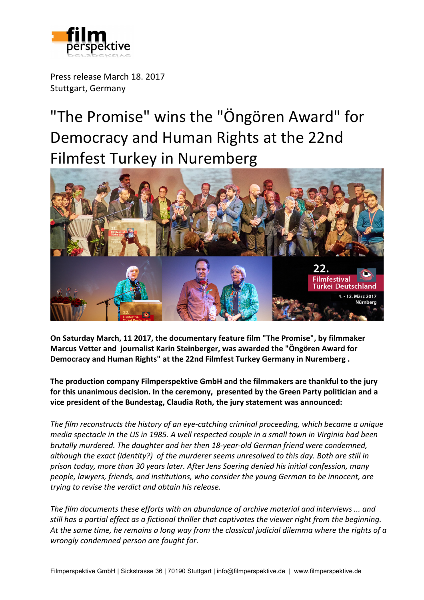

Press release March 18, 2017 Stuttgart, Germany

"The Promise" wins the "Öngören Award" for Democracy and Human Rights at the 22nd Filmfest Turkey in Nuremberg



**On Saturday March, 11 2017, the documentary feature film "The Promise", by filmmaker Marcus Vetter and journalist Karin Steinberger, was awarded the "Öngören Award for Democracy and Human Rights" at the 22nd Filmfest Turkey Germany in Nuremberg.** 

The production company Filmperspektive GmbH and the filmmakers are thankful to the jury for this unanimous decision. In the ceremony, presented by the Green Party politician and a vice president of the Bundestag, Claudia Roth, the jury statement was announced:

The film reconstructs the history of an eye-catching criminal proceeding, which became a unique *media* spectacle in the US in 1985. A well respected couple in a small town in Virginia had been *brutally murdered.* The daughter and her then 18-year-old German friend were condemned, although the exact (identity?) of the murderer seems unresolved to this day. Both are still in prison today, more than 30 years later. After Jens Soering denied his initial confession, many *people, lawyers, friends, and institutions, who consider the young German to be innocent, are trying to revise the verdict and obtain his release.*

The film documents these efforts with an abundance of archive material and interviews ... and still has a partial effect as a fictional thriller that captivates the viewer right from the beginning. At the same time, he remains a long way from the classical judicial dilemma where the rights of a *wrongly condemned person are fought for.*